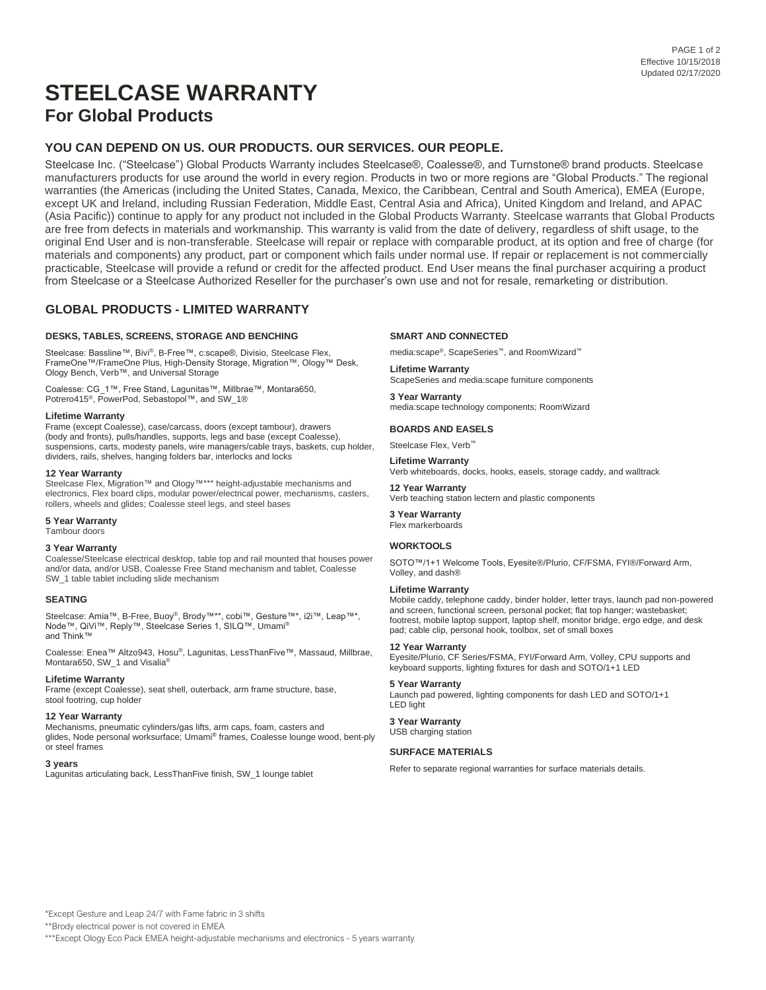# **STEELCASE WARRANTY For Global Products**

# **YOU CAN DEPEND ON US. OUR PRODUCTS. OUR SERVICES. OUR PEOPLE.**

Steelcase Inc. ("Steelcase") Global Products Warranty includes Steelcase®, Coalesse®, and Turnstone® brand products. Steelcase manufacturers products for use around the world in every region. Products in two or more regions are "Global Products." The regional warranties (the Americas (including the United States, Canada, Mexico, the Caribbean, Central and South America), EMEA (Europe, except UK and Ireland, including Russian Federation, Middle East, Central Asia and Africa), United Kingdom and Ireland, and APAC (Asia Pacific)) continue to apply for any product not included in the Global Products Warranty. Steelcase warrants that Global Products are free from defects in materials and workmanship. This warranty is valid from the date of delivery, regardless of shift usage, to the original End User and is non-transferable. Steelcase will repair or replace with comparable product, at its option and free of charge (for materials and components) any product, part or component which fails under normal use. If repair or replacement is not commercially practicable, Steelcase will provide a refund or credit for the affected product. End User means the final purchaser acquiring a product from Steelcase or a Steelcase Authorized Reseller for the purchaser's own use and not for resale, remarketing or distribution.

# **GLOBAL PRODUCTS - LIMITED WARRANTY**

### **DESKS, TABLES, SCREENS, STORAGE AND BENCHING**

Steelcase: Bassline™, Bivi ®, B-Free™, c:scape®, Divisio, Steelcase Flex, FrameOne™/FrameOne Plus, High-Density Storage, Migration™, Ology™ Desk, Ology Bench, Verb™, and Universal Storage

Coalesse: CG\_1™, Free Stand, Lagunitas™, Millbrae™, Montara650, Potrero415<sup>®</sup>, PowerPod, Sebastopol™, and SW\_1®

#### **Lifetime Warranty**

Frame (except Coalesse), case/carcass, doors (except tambour), drawers (body and fronts), pulls/handles, supports, legs and base (except Coalesse), suspensions, carts, modesty panels, wire managers/cable trays, baskets, cup holder, dividers, rails, shelves, hanging folders bar, interlocks and locks

#### **12 Year Warranty**

Steelcase Flex, Migration™ and Ology™\*\*\* height-adjustable mechanisms and electronics, Flex board clips, modular power/electrical power, mechanisms, casters, rollers, wheels and glides; Coalesse steel legs, and steel bases

**5 Year Warranty**

Tambour doors

### **3 Year Warranty**

Coalesse/Steelcase electrical desktop, table top and rail mounted that houses power and/or data, and/or USB, Coalesse Free Stand mechanism and tablet, Coalesse SW\_1 table tablet including slide mechanism

#### **SEATING**

Steelcase: Amia™, B-Free, Buoy®, Brody™\*\*, cobi™, Gesture™\*, i2i™, Leap™\*, Node™, QiVi™, Reply™, Steelcase Series 1, SILQ™, Umami® and Think™

Coalesse: Enea™ Altzo943, Hosu®, Lagunitas, LessThanFive™, Massaud, Millbrae, Montara650, SW\_1 and Visalia®

### **Lifetime Warranty**

Frame (except Coalesse), seat shell, outerback, arm frame structure, base, stool footring, cup holder

#### **12 Year Warranty**

Mechanisms, pneumatic cylinders/gas lifts, arm caps, foam, casters and glides, Node personal worksurface; Umami® frames, Coalesse lounge wood, bent-ply or steel frames

#### **3 years**

Lagunitas articulating back, LessThanFive finish, SW\_1 lounge tablet

#### **SMART AND CONNECTED**

media:scape®, ScapeSeries™, and RoomWizard™

**Lifetime Warranty** ScapeSeries and media:scape furniture components

**3 Year Warranty** media:scape technology components; RoomWizard

#### **BOARDS AND EASELS**

Steelcase Flex, Verb<sup>™</sup>

**Lifetime Warranty** Verb whiteboards, docks, hooks, easels, storage caddy, and walltrack

## **12 Year Warranty**

Verb teaching station lectern and plastic components

**3 Year Warranty** Flex markerboards

#### **WORKTOOLS**

SOTO™/1+1 Welcome Tools, Eyesite®/Plurio, CF/FSMA, FYI®/Forward Arm, Volley, and dash®

#### **Lifetime Warranty**

Mobile caddy, telephone caddy, binder holder, letter trays, launch pad non-powered and screen, functional screen, personal pocket; flat top hanger; wastebasket; footrest, mobile laptop support, laptop shelf, monitor bridge, ergo edge, and desk pad; cable clip, personal hook, toolbox, set of small boxes

#### **12 Year Warranty**

Eyesite/Plurio, CF Series/FSMA, FYI/Forward Arm, Volley, CPU supports and keyboard supports, lighting fixtures for dash and SOTO/1+1 LED **5 Year Warranty**

Launch pad powered, lighting components for dash LED and SOTO/1+1 LED light

# **3 Year Warranty**

USB charging station

### **SURFACE MATERIALS**

Refer to separate regional warranties for surface materials details.

\*Except Gesture and Leap 24/7 with Fame fabric in 3 shifts

\*\*Brody electrical power is not covered in EMEA

\*\*\*Except Ology Eco Pack EMEA height-adjustable mechanisms and electronics - 5 years warranty